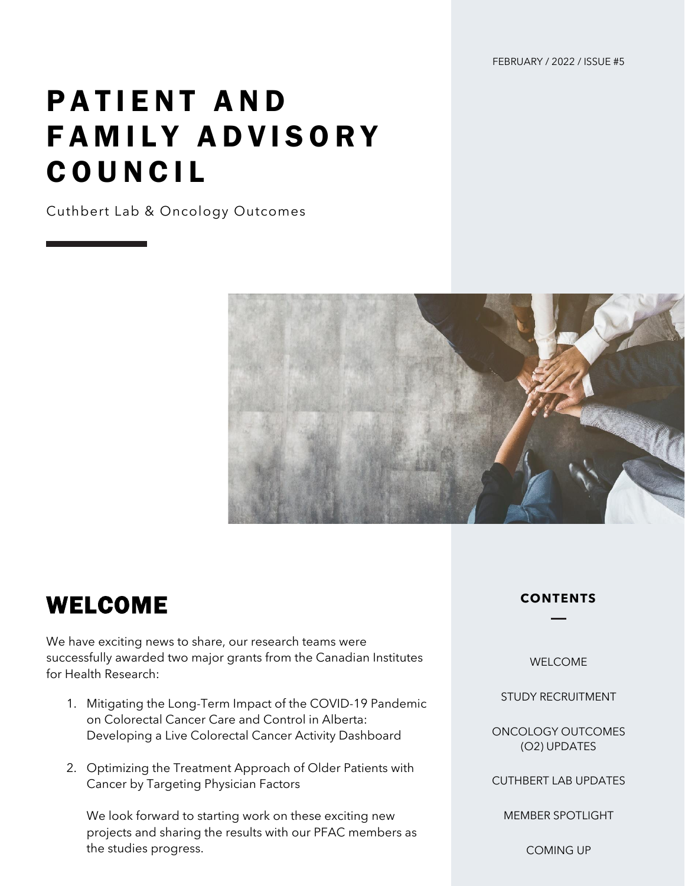FEBRUARY / 2022 / ISSUE #5

# PATIENT AND FAMILY ADVISORY **COUNCIL**

Cuthbert Lab & Oncology Outcomes



#### WELCOME

We have exciting news to share, our research teams were successfully awarded two major grants from the Canadian Institutes for Health Research:

- 1. Mitigating the Long-Term Impact of the COVID-19 Pandemic on Colorectal Cancer Care and Control in Alberta: Developing a Live Colorectal Cancer Activity Dashboard
- 2. Optimizing the Treatment Approach of Older Patients with Cancer by Targeting Physician Factors

We look forward to starting work on these exciting new projects and sharing the results with our PFAC members as the studies progress.

#### **CONTENTS**

WELCOME

STUDY RECRUITMENT

ONCOLOGY OUTCOMES (O2) UPDATES

CUTHBERT LAB UPDATES

MEMBER SPOTLIGHT

COMING UP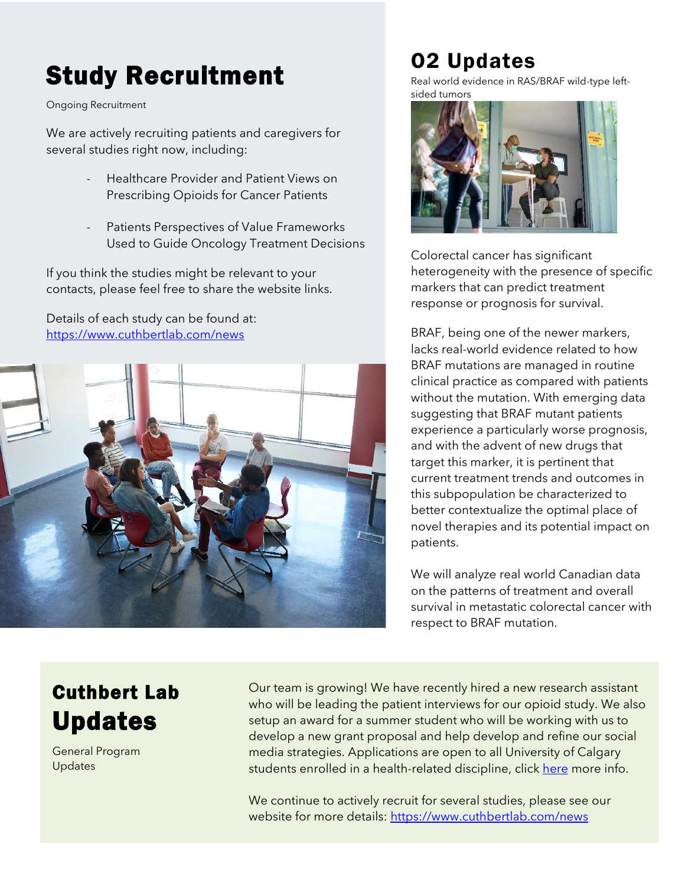## Study Recruitment

Ongoing Recruitment

We are actively recruiting patients and caregivers for several studies right now, including:

- Healthcare Provider and Patient Views on Prescribing Opioids for Cancer Patients
- Patients Perspectives of Value Frameworks Used to Guide Oncology Treatment Decisions

If you think the studies might be relevant to your contacts, please feel free to share the website links.

Details of each study can be found at: <https://www.cuthbertlab.com/news>



## O2 Updates

Real world evidence in RAS/BRAF wild-type leftsided tumors



Colorectal cancer has significant heterogeneity with the presence of specific markers that can predict treatment response or prognosis for survival.

BRAF, being one of the newer markers, lacks real-world evidence related to how BRAF mutations are managed in routine clinical practice as compared with patients without the mutation. With emerging data suggesting that BRAF mutant patients experience a particularly worse prognosis, and with the advent of new drugs that target this marker, it is pertinent that current treatment trends and outcomes in this subpopulation be characterized to better contextualize the optimal place of novel therapies and its potential impact on patients.

We will analyze real world Canadian data on the patterns of treatment and overall survival in metastatic colorectal cancer with respect to BRAF mutation.

### Cuthbert Lab Updates

General Program Updates

Our team is growing! We have recently hired a new research assistant who will be leading the patient interviews for our opioid study. We also setup an award for a summer student who will be working with us to develop a new grant proposal and help develop and refine our social media strategies. Applications are open to all University of Calgary students enrolled in a health-related discipline, click [here](https://www.cuthbertlab.com/careers) more info.

We continue to actively recruit for several studies, please see our website for more details:<https://www.cuthbertlab.com/news>